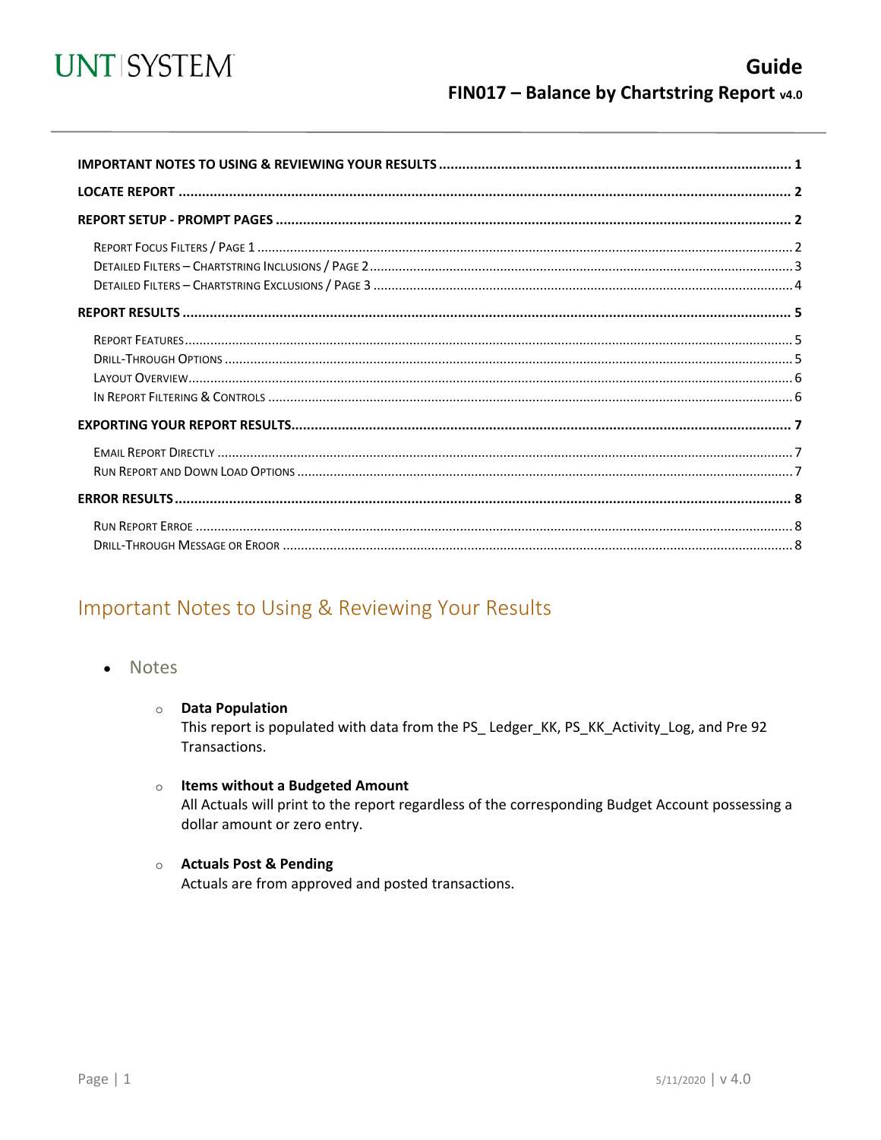

## Important Notes to Using & Reviewing Your Results

- Notes
	- **O** Data Population

This report is populated with data from the PS\_Ledger\_KK, PS\_KK\_Activity\_Log, and Pre 92 Transactions.

- $\circ$  Items without a Budgeted Amount All Actuals will print to the report regardless of the corresponding Budget Account possessing a dollar amount or zero entry.
- Actuals Post & Pending

Actuals are from approved and posted transactions.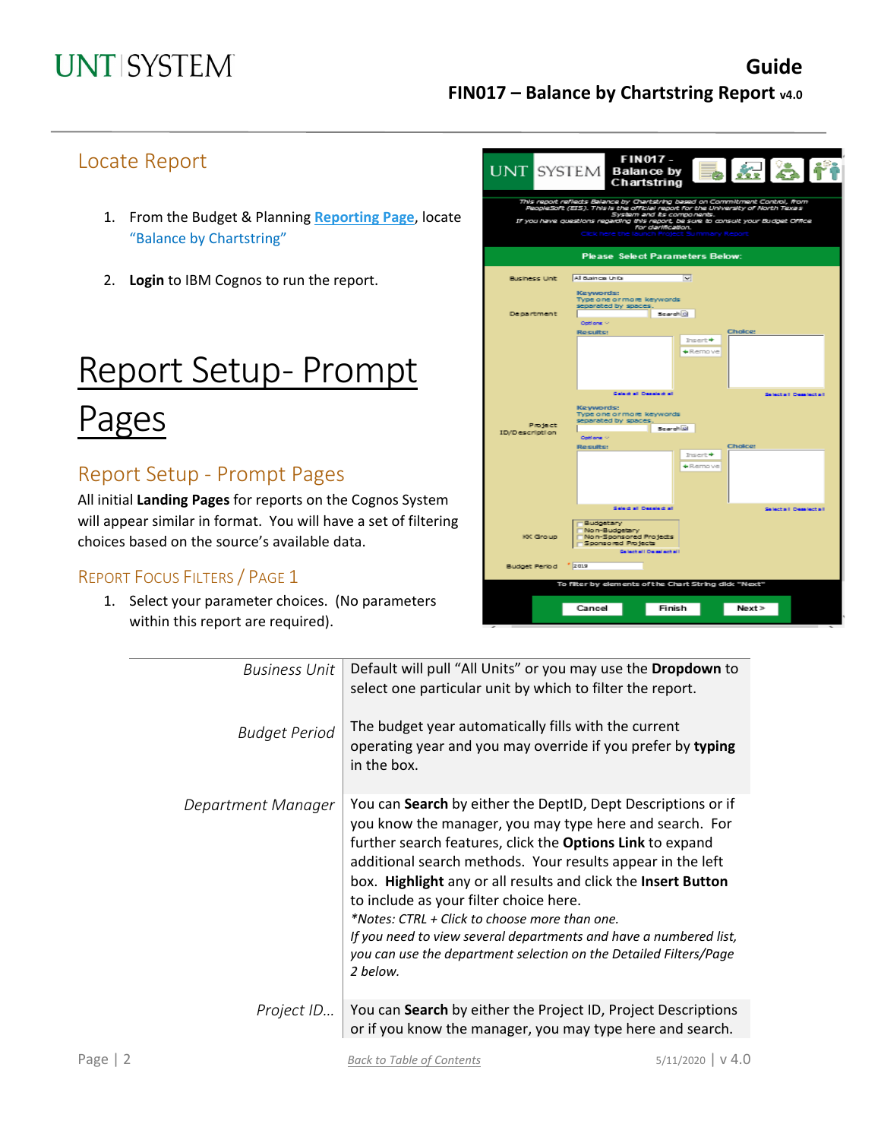## Locate Report

- 1. From the Budget & Planning **[Reporting Page](https://finance.untsystem.edu/reporting)**, locate "Balance by Chartstring"
- 2. **Login** to IBM Cognos to run the report.

# Report Setup- Prompt

# Pages

## Report Setup - Prompt Pages

All initial **Landing Pages** for reports on the Cognos System will appear similar in format. You will have a set of filtering choices based on the source's available data.

### REPORT FOCUS FILTERS / PAGE 1

1. Select your parameter choices. (No parameters within this report are required).

|                           | <b>FIN017-</b><br>長短さや<br>UNT SYSTEM Balance by<br>Chartstring                                                                                                                                                                                                                                                                               |
|---------------------------|----------------------------------------------------------------------------------------------------------------------------------------------------------------------------------------------------------------------------------------------------------------------------------------------------------------------------------------------|
|                           | This report reflects Balance by Chartstring based on Commitment Control, from<br>PeopleSoft (EIS). This is the official report for the University of North Texas<br>System and its components.<br>If you have questions regarding this report, be sure to consult your Budget Office.<br>For darification.<br>Cick here the<br>ummary Report |
|                           | <b>Please Select Parameters Below:</b>                                                                                                                                                                                                                                                                                                       |
| Business Unit             | All Business Units<br>$\sim$                                                                                                                                                                                                                                                                                                                 |
| <b>Department</b>         | Keywords:<br>Type one or more keywords<br>separated by spaces.<br>Scarch <sup>(2)</sup><br>Oottons <                                                                                                                                                                                                                                         |
|                           | Choice:<br>Results:<br>$Insert +$<br>+Remoive                                                                                                                                                                                                                                                                                                |
| Project<br>ID/Description | Select all Decelect all<br>Selecte I Desalecte II<br>Keywords:<br>Type one or more keywords<br>separated by spaces.<br>Scarch Gi<br>Options <                                                                                                                                                                                                |
|                           | Cholce:<br>Results:<br>$Insert +$<br>+Remoive                                                                                                                                                                                                                                                                                                |
| KK Group                  | Select all Decelect all<br>Selecte II Desalecte II<br>Budgetary<br>Non-Budgetary<br>Non-Sponsored Projects<br>Sponsored Projects<br>Selecte(I De selecte(I)                                                                                                                                                                                  |
| Budget Period 2019        |                                                                                                                                                                                                                                                                                                                                              |
|                           | To filter by elements of the Chart String did: "Next"                                                                                                                                                                                                                                                                                        |
|                           | Next<br>Cancel<br>Finish                                                                                                                                                                                                                                                                                                                     |

| Business Unit        | Default will pull "All Units" or you may use the <b>Dropdown</b> to<br>select one particular unit by which to filter the report.                                                                                                                                                                                                                                                                                                                                                                                                                                            |
|----------------------|-----------------------------------------------------------------------------------------------------------------------------------------------------------------------------------------------------------------------------------------------------------------------------------------------------------------------------------------------------------------------------------------------------------------------------------------------------------------------------------------------------------------------------------------------------------------------------|
| <b>Budget Period</b> | The budget year automatically fills with the current<br>operating year and you may override if you prefer by typing<br>in the box.                                                                                                                                                                                                                                                                                                                                                                                                                                          |
| Department Manager   | You can Search by either the DeptID, Dept Descriptions or if<br>you know the manager, you may type here and search. For<br>further search features, click the <b>Options Link</b> to expand<br>additional search methods. Your results appear in the left<br>box. Highlight any or all results and click the Insert Button<br>to include as your filter choice here.<br>*Notes: CTRL + Click to choose more than one.<br>If you need to view several departments and have a numbered list,<br>you can use the department selection on the Detailed Filters/Page<br>2 below. |
| Project ID           | You can Search by either the Project ID, Project Descriptions<br>or if you know the manager, you may type here and search.                                                                                                                                                                                                                                                                                                                                                                                                                                                  |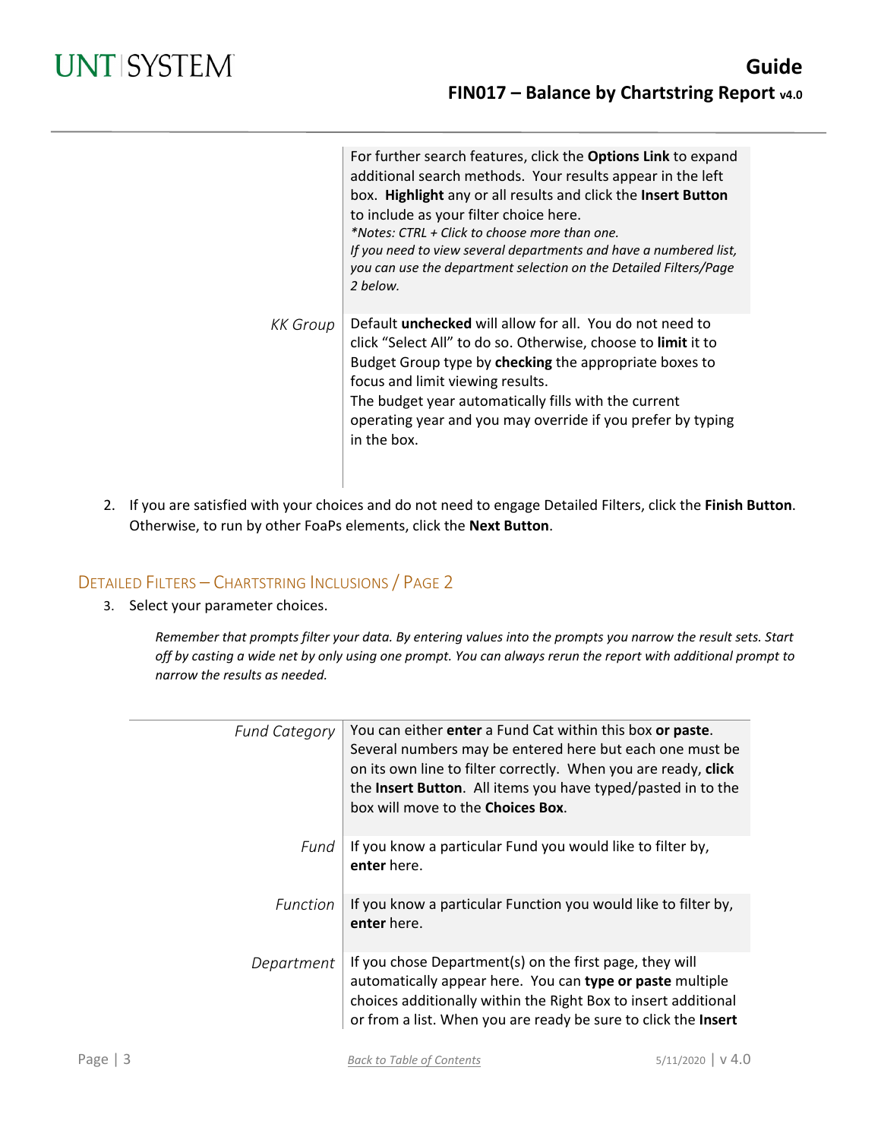|          | For further search features, click the Options Link to expand<br>additional search methods. Your results appear in the left<br>box. Highlight any or all results and click the Insert Button<br>to include as your filter choice here.<br>*Notes: CTRL + Click to choose more than one.<br>If you need to view several departments and have a numbered list,<br>you can use the department selection on the Detailed Filters/Page<br>2 below. |
|----------|-----------------------------------------------------------------------------------------------------------------------------------------------------------------------------------------------------------------------------------------------------------------------------------------------------------------------------------------------------------------------------------------------------------------------------------------------|
| KK Group | Default <b>unchecked</b> will allow for all. You do not need to<br>click "Select All" to do so. Otherwise, choose to limit it to<br>Budget Group type by checking the appropriate boxes to<br>focus and limit viewing results.<br>The budget year automatically fills with the current<br>operating year and you may override if you prefer by typing<br>in the box.                                                                          |

2. If you are satisfied with your choices and do not need to engage Detailed Filters, click the **Finish Button**. Otherwise, to run by other FoaPs elements, click the **Next Button**.

### DETAILED FILTERS – CHARTSTRING INCLUSIONS / PAGE 2

3. Select your parameter choices.

*Remember that prompts filter your data. By entering values into the prompts you narrow the result sets. Start off by casting a wide net by only using one prompt. You can always rerun the report with additional prompt to narrow the results as needed.*

| <b>Fund Category</b> | You can either enter a Fund Cat within this box or paste.<br>Several numbers may be entered here but each one must be<br>on its own line to filter correctly. When you are ready, click<br>the Insert Button. All items you have typed/pasted in to the<br>box will move to the <b>Choices Box</b> . |
|----------------------|------------------------------------------------------------------------------------------------------------------------------------------------------------------------------------------------------------------------------------------------------------------------------------------------------|
| Fund                 | If you know a particular Fund you would like to filter by,<br>enter here.                                                                                                                                                                                                                            |
| Function             | If you know a particular Function you would like to filter by,<br>enter here.                                                                                                                                                                                                                        |
| Department           | If you chose Department(s) on the first page, they will<br>automatically appear here. You can type or paste multiple<br>choices additionally within the Right Box to insert additional<br>or from a list. When you are ready be sure to click the Insert                                             |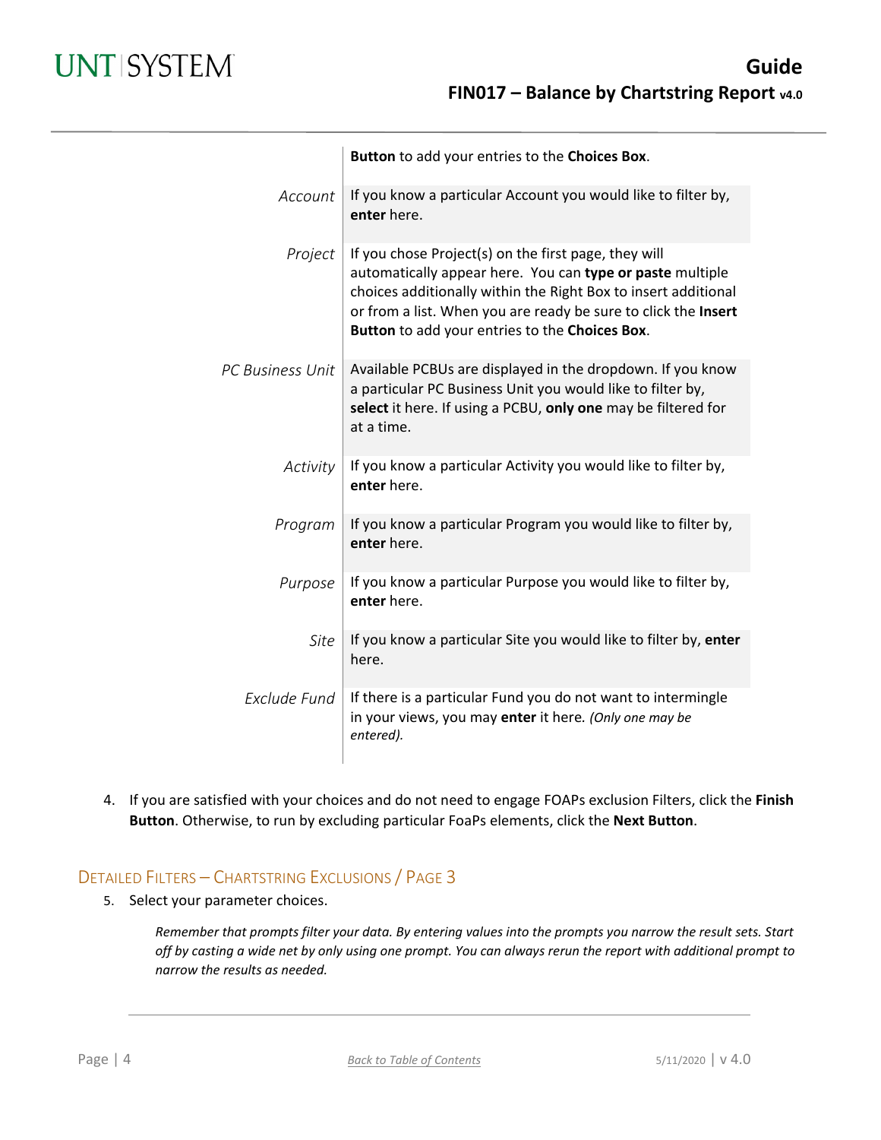|                         | Button to add your entries to the Choices Box.                                                                                                                                                                                                                                                          |
|-------------------------|---------------------------------------------------------------------------------------------------------------------------------------------------------------------------------------------------------------------------------------------------------------------------------------------------------|
| Account                 | If you know a particular Account you would like to filter by,<br>enter here.                                                                                                                                                                                                                            |
| Project                 | If you chose Project(s) on the first page, they will<br>automatically appear here. You can type or paste multiple<br>choices additionally within the Right Box to insert additional<br>or from a list. When you are ready be sure to click the Insert<br>Button to add your entries to the Choices Box. |
| <b>PC Business Unit</b> | Available PCBUs are displayed in the dropdown. If you know<br>a particular PC Business Unit you would like to filter by,<br>select it here. If using a PCBU, only one may be filtered for<br>at a time.                                                                                                 |
| Activity                | If you know a particular Activity you would like to filter by,<br>enter here.                                                                                                                                                                                                                           |
| Program                 | If you know a particular Program you would like to filter by,<br>enter here.                                                                                                                                                                                                                            |
| Purpose                 | If you know a particular Purpose you would like to filter by,<br>enter here.                                                                                                                                                                                                                            |
| Site                    | If you know a particular Site you would like to filter by, enter<br>here.                                                                                                                                                                                                                               |
| Exclude Fund            | If there is a particular Fund you do not want to intermingle<br>in your views, you may enter it here. (Only one may be<br>entered).                                                                                                                                                                     |

4. If you are satisfied with your choices and do not need to engage FOAPs exclusion Filters, click the **Finish Button**. Otherwise, to run by excluding particular FoaPs elements, click the **Next Button**.

### DETAILED FILTERS – CHARTSTRING EXCLUSIONS / PAGE 3

5. Select your parameter choices.

*Remember that prompts filter your data. By entering values into the prompts you narrow the result sets. Start off by casting a wide net by only using one prompt. You can always rerun the report with additional prompt to narrow the results as needed.*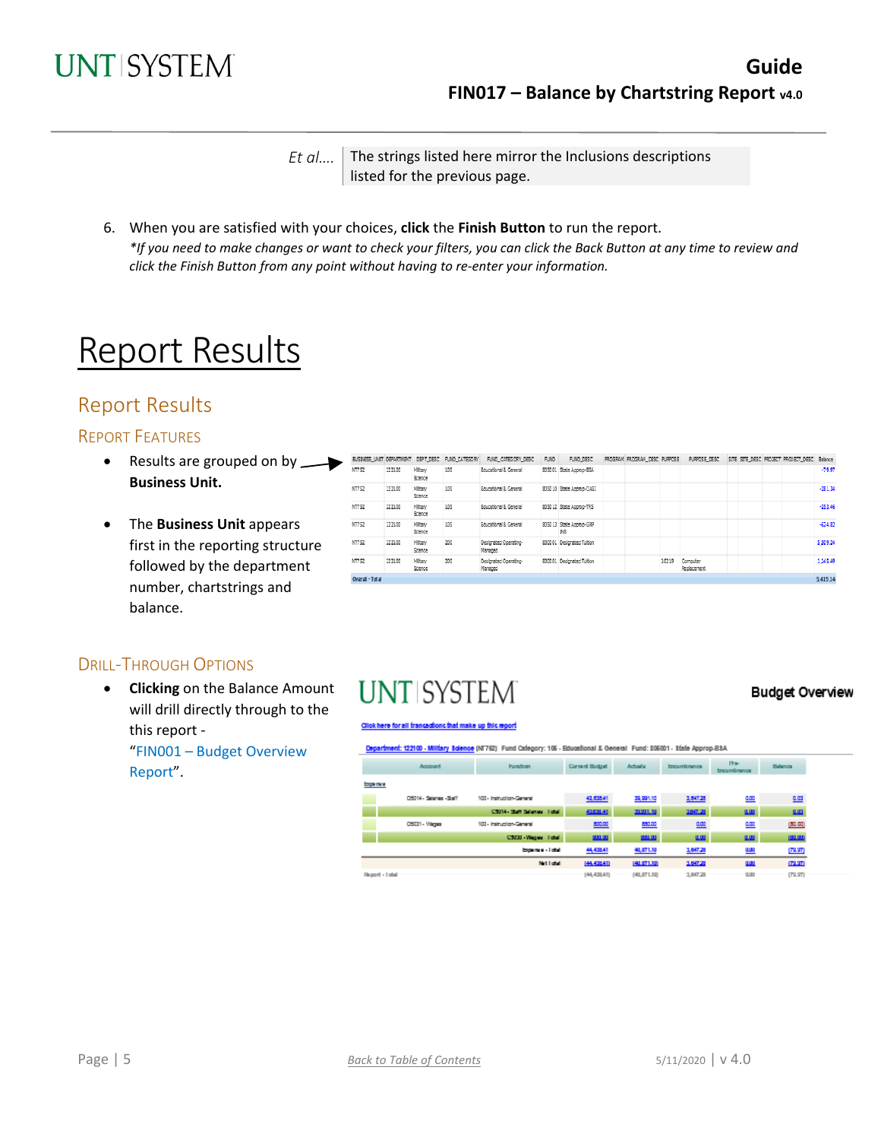

*Et al....* The strings listed here mirror the Inclusions descriptions listed for the previous page.

6. When you are satisfied with your choices, **click** the **Finish Button** to run the report. *\*If you need to make changes or want to check your filters, you can click the Back Button at any time to review and click the Finish Button from any point without having to re-enter your information.*

# Report Results

## Report Results

### REPORT FEATURES

- Results are grouped on by  $\longrightarrow$ **Business Unit.**
- The **Business Unit** appears first in the reporting structure followed by the department number, chartstrings and balance.

| BUSINESS UNIT DEPARTMENT |        | DEPT_DESC          | FUND_CATEGORY | FUND_CATEGORY_DESC               | FUND.  | FUND_DESC                 | PROGRAM PROGRAM_DESC PURPOSE |       | PURPOSE DESC            |  | SITE SITE DESC PROJECT PROJECT DESC Balance |           |
|--------------------------|--------|--------------------|---------------|----------------------------------|--------|---------------------------|------------------------------|-------|-------------------------|--|---------------------------------------------|-----------|
| NT752                    | 122100 | Miltary<br>Science | 105           | Educational & General            | 805001 | State Approp-BSA          |                              |       |                         |  |                                             | $-79.97$  |
| NT752                    | 122100 | Miltary<br>Science | 105           | Educational & General            |        | 805010 State Approp-OASI  |                              |       |                         |  |                                             | $-281.34$ |
| NT752                    | 122100 | Miltary<br>Science | 105           | Educational & General            |        | 805012 State Approp-TRS   |                              |       |                         |  |                                             | $-253.46$ |
| NT752                    | 122100 | Miltary<br>Science | 105           | Educational & General            | 805013 | State Approp-GRP<br>IN5   |                              |       |                         |  |                                             | $-624.82$ |
| NT752                    | 122100 | Miltary<br>Science | 200           | Designated Operating-<br>Managed |        | 830001 Designated Tultion |                              |       |                         |  |                                             | 5,509.24  |
| NT752                    | 122100 | Miltary<br>Science | 200           | Designated Operating-<br>Managed |        | 830001 Designated Tultion |                              | 10219 | Computer<br>Replacement |  |                                             | 1,145.49  |
| Overall - Total          |        |                    |               |                                  |        |                           |                              |       |                         |  |                                             | 5,415.14  |

### DRILL-THROUGH OPTIONS

• **Clicking** on the Balance Amount will drill directly through to the this report -

"FIN001 – Budget Overview Report".

# **UNT SYSTEM**

#### **Budget Overview**

#### .<br>Slok here for all transactions that make up this report

ent: 122100 - Military Science (NT762) Fund Category: 106 - Educational & General Fund: 306001 - State Approp-BSA

|                   | Account                  | hundron                   | Current Budget | Achady      | broumbnasce | Ite-<br>broumbnation | <b>Balance</b> |  |
|-------------------|--------------------------|---------------------------|----------------|-------------|-------------|----------------------|----------------|--|
| Experte e         |                          |                           |                |             |             |                      |                |  |
|                   | D5014 - Salaries - Staff | 100 - Instruction-General | 43,835.41      | 39,991.10   | 1,847.28    | <b>LOD</b>           | 四              |  |
|                   |                          | CSIN-Shift Schman, Total  | 43835.41       | 20201-00    | 3,847.28    | 0.00                 | <b>LUS</b>     |  |
|                   | DS031 - Vileges          | 100 - Instruction-General | 800.00         | 55100       | $rac{1}{2}$ | 0.00                 | (80.00)        |  |
|                   |                          | CSDSI-Wasser Total        | 200.00         | 891.00      | 0.00        | 8.00                 | 001.00         |  |
|                   |                          | Expense - I otal          | 44,431.41      | 40,871.10   | 3,847.28    | <u>um</u>            | (12.21)        |  |
|                   |                          | Net liabel                | (44.436.41)    | 040.871.00  | 3,647.28    | Щ                    | 172,970        |  |
| Negovit - I gital |                          |                           | (44, 432.41)   | (40,871.10) | 3,847.28    | <b>U.DO</b>          | (T2.2T)        |  |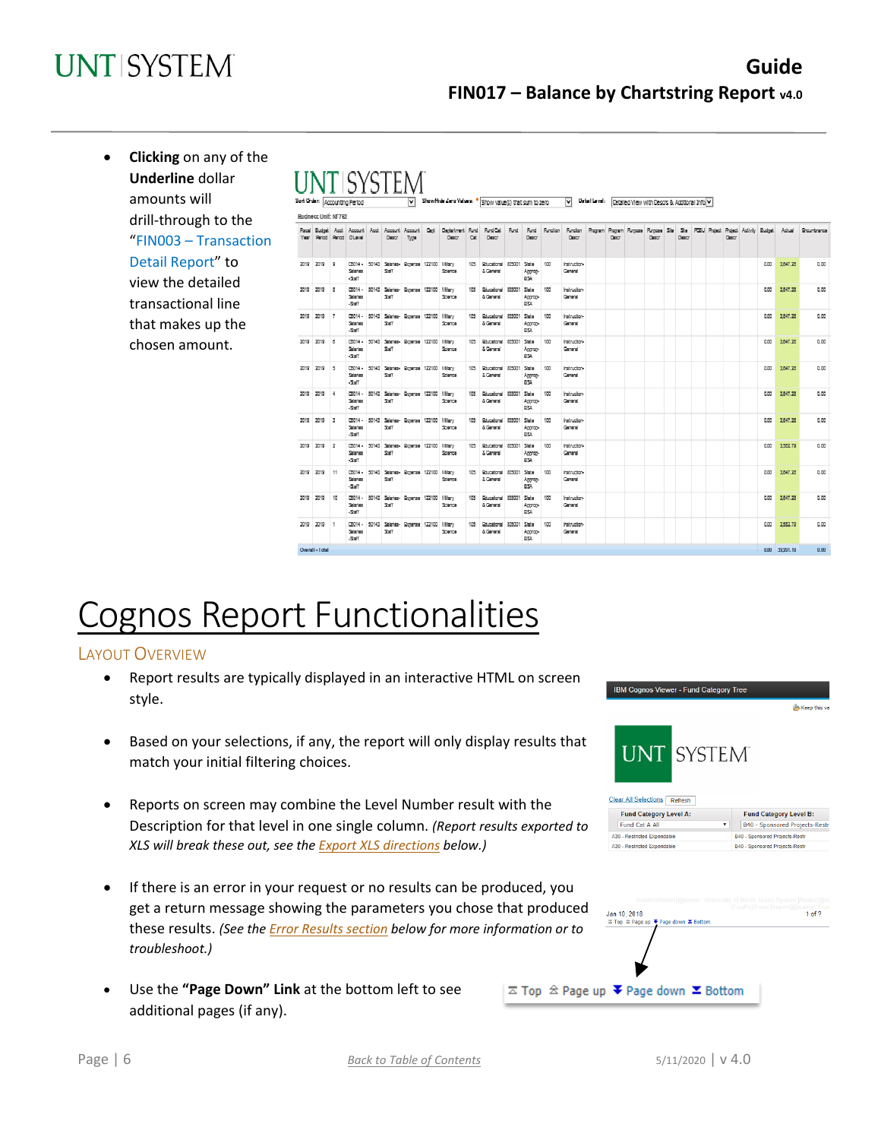# **UNTISYSTEM**

## **Guide FIN017 – Balance by Chartstring Report v4.0**

• **Clicking** on any of the **UNTISYSTEM Underline** dollar amounts will Mide Zero Values: \* Show value(s) that sum to zero  $\overline{\mathbf{v}}$ Deteri Level: Detailed View with Desots & Additional Info V **Budners Unit: NT7P** drill-through to the  $A$ cct Deglatment Rund<br>Degre RindCat Rand Rund Rundler Rundten Regione Ste Ste POLJ Reject Reject Activity Budget Actual Ricurbrance "FIN003 – Transaction Detail Report" to 2019  $0.00$ 1847.25  $0.00$ iratructo<br>General view the detailed  $0.00$ 2019 2019 Ŀ 100 Italtudor<br>General  $000$ 1,547.25 transactional line 2019  $\frac{1}{2}$ Italnucto<br>General  $\alpha$ 1847.25  $\alpha$ 2019 that makes up the 1847.25  $n \, m$ 2019 2019 rena. Iratructo<br>General nm. chosen amount. 3847.25  $0.00$ 2019 2019 5 (2014) Iratructo<br>General  $\alpha\alpha$ 2019 2019 4 (2014)  $000$ 1847.25  $0.00$ Iratructo<br>General 2019 2019 3 03014 - 50143 Salaries<br>Salaries - Staff  $0.00$ 1847.25  $0.00$ Sate **Instructor**<br>General 2019 2019 2 D3014 -50143 Sala 100 Italnucion<br>General  $0.00$ 1552.79  $0.00$ 1847.25  $0.00$ 2019 2019 Italnucion<br>General  $0.00$ 1847.25  $0.00$ iratructo<br>General  $0.00$ Sate  $100$  $0.00$ Instructor<br>General 0.00 39,991.10  $0.00$ Ownell - I obe

# Cognos Report Functionalities

### LAYOUT OVERVIEW

- Report results are typically displayed in an interactive HTML on screen style.
- Based on your selections, if any, the report will only display results that match your initial filtering choices.
- Reports on screen may combine the Level Number result with the Description for that level in one single column. *(Report results exported to XLS will break these out, see th[e Export XLS directions](#page-6-0) below.)*
- If there is an error in your request or no results can be produced, you get a return message showing the parameters you chose that produced these results. *(See th[e Error Results section](#page-7-0) below for more information or to troubleshoot.)*
- Use the **"Page Down" Link** at the bottom left to see additional pages (if any).

|                                                                                        | IBM Cognos Viewer - Fund Category Tree<br>Keep this ver                                                                                    |
|----------------------------------------------------------------------------------------|--------------------------------------------------------------------------------------------------------------------------------------------|
| UNT SYSTEM<br><b>Clear All Selections</b><br>Refresh<br><b>Fund Category Level A:</b>  | <b>Fund Category Level B:</b>                                                                                                              |
| Fund Cat A All                                                                         | B40 - Sponsored Projects-Restr                                                                                                             |
| A30 - Restricted Expendable                                                            | B40 - Sponsored Projects-Restr                                                                                                             |
| A30 - Restricted Expendable                                                            | <b>B40 - Sponsored Projects-Restr</b>                                                                                                      |
| Jan 10, 2018                                                                           | /content/folder[@name='University of North Texas System' /folder[@na<br>(FoaPs)Trees'//report[@name='Funo<br>1 <sub>0</sub> f <sub>2</sub> |
| <b><math>\overline{z}</math> Top <sup>2</sup> Page up ₹ Page down <u></u> 2 Bottom</b> |                                                                                                                                            |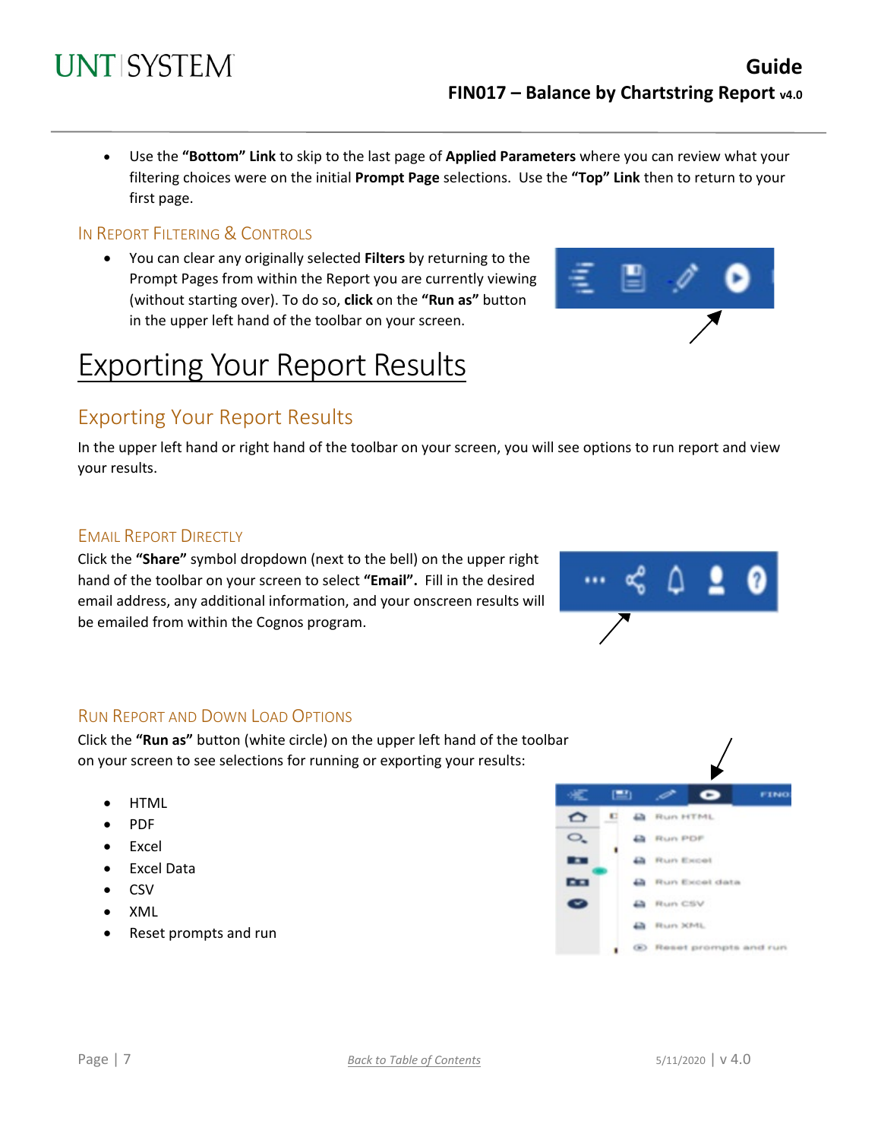• Use the **"Bottom" Link** to skip to the last page of **Applied Parameters** where you can review what your filtering choices were on the initial **Prompt Page** selections. Use the **"Top" Link** then to return to your first page.

### IN REPORT FILTERING & CONTROLS

**UNT SYSTEM** 

• You can clear any originally selected **Filters** by returning to the Prompt Pages from within the Report you are currently viewing (without starting over). To do so, **click** on the **"Run as"** button in the upper left hand of the toolbar on your screen.

# Exporting Your Report Results

## Exporting Your Report Results

In the upper left hand or right hand of the toolbar on your screen, you will see options to run report and view your results.

### **EMAIL REPORT DIRECTLY**

Click the **"Share"** symbol dropdown (next to the bell) on the upper right hand of the toolbar on your screen to select **"Email".** Fill in the desired email address, any additional information, and your onscreen results will be emailed from within the Cognos program.

<span id="page-6-0"></span>

Click the **"Run as"** button (white circle) on the upper left hand of the toolbar on your screen to see selections for running or exporting your results:

- HTML
- PDF
- **Excel**
- Excel Data
- CSV
- XML
- Reset prompts and run